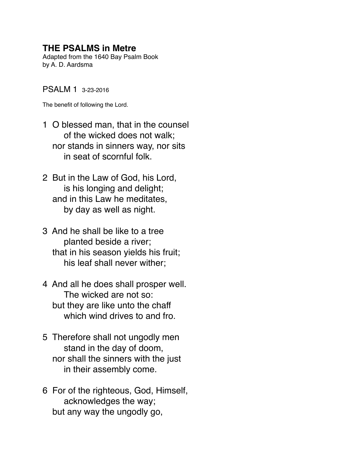#### **THE PSALMS in Metre**

Adapted from the 1640 Bay Psalm Book by A. D. Aardsma

PSALM 1 3-23-2016

The benefit of following the Lord.

- 1 O blessed man, that in the counsel of the wicked does not walk; nor stands in sinners way, nor sits in seat of scornful folk.
- 2 But in the Law of God, his Lord, is his longing and delight; and in this Law he meditates, by day as well as night.
- 3 And he shall be like to a tree planted beside a river; that in his season yields his fruit; his leaf shall never wither;
- 4 And all he does shall prosper well. The wicked are not so: but they are like unto the chaff which wind drives to and fro.
- 5 Therefore shall not ungodly men stand in the day of doom, nor shall the sinners with the just in their assembly come.
- 6 For of the righteous, God, Himself, acknowledges the way; but any way the ungodly go,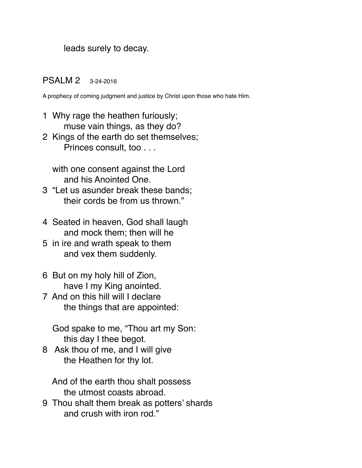leads surely to decay.

#### PSALM 2 3-24-2016

A prophecy of coming judgment and justice by Christ upon those who hate Him.

- 1 Why rage the heathen furiously; muse vain things, as they do?
- 2 Kings of the earth do set themselves; Princes consult, too . . .

 with one consent against the Lord and his Anointed One.

3 "Let us asunder break these bands; their cords be from us thrown."

- 4 Seated in heaven, God shall laugh and mock them; then will he
- 5 in ire and wrath speak to them and vex them suddenly.
- 6 But on my holy hill of Zion, have I my King anointed.
- 7 And on this hill will I declare the things that are appointed:

 God spake to me, "Thou art my Son: this day I thee begot.

8 Ask thou of me, and I will give the Heathen for thy lot.

 And of the earth thou shalt possess the utmost coasts abroad.

9 Thou shalt them break as potters' shards and crush with iron rod."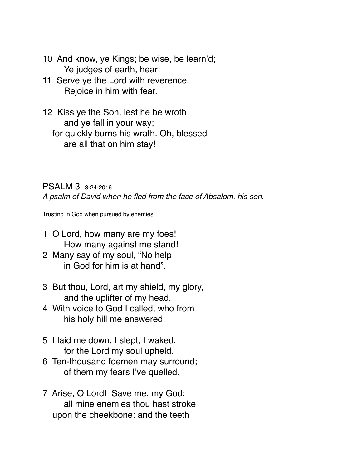- 10 And know, ye Kings; be wise, be learn'd; Ye judges of earth, hear:
- 11 Serve ye the Lord with reverence. Rejoice in him with fear.
- 12 Kiss ye the Son, lest he be wroth and ye fall in your way; for quickly burns his wrath. Oh, blessed are all that on him stay!

PSALM 3 3-24-2016 *A psalm of David when he fled from the face of Absalom, his son.*

Trusting in God when pursued by enemies.

- 1 O Lord, how many are my foes! How many against me stand!
- 2 Many say of my soul, "No help in God for him is at hand".
- 3 But thou, Lord, art my shield, my glory, and the uplifter of my head.
- 4 With voice to God I called, who from his holy hill me answered.
- 5 I laid me down, I slept, I waked, for the Lord my soul upheld.
- 6 Ten-thousand foemen may surround; of them my fears I've quelled.
- 7 Arise, O Lord! Save me, my God: all mine enemies thou hast stroke upon the cheekbone: and the teeth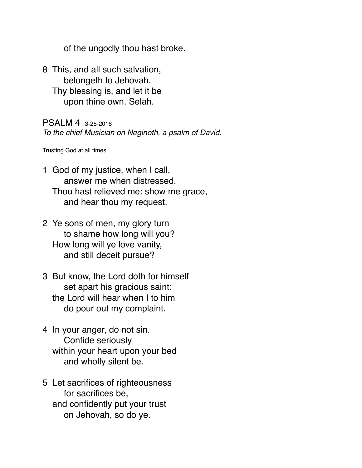of the ungodly thou hast broke.

8 This, and all such salvation, belongeth to Jehovah. Thy blessing is, and let it be upon thine own. Selah.

PSALM 4 3-25-2016 *To the chief Musician on Neginoth, a psalm of David.*

Trusting God at all times.

- 1 God of my justice, when I call, answer me when distressed. Thou hast relieved me: show me grace, and hear thou my request.
- 2 Ye sons of men, my glory turn to shame how long will you? How long will ye love vanity, and still deceit pursue?
- 3 But know, the Lord doth for himself set apart his gracious saint: the Lord will hear when I to him do pour out my complaint.
- 4 In your anger, do not sin. Confide seriously within your heart upon your bed and wholly silent be.
- 5 Let sacrifices of righteousness for sacrifices be, and confidently put your trust on Jehovah, so do ye.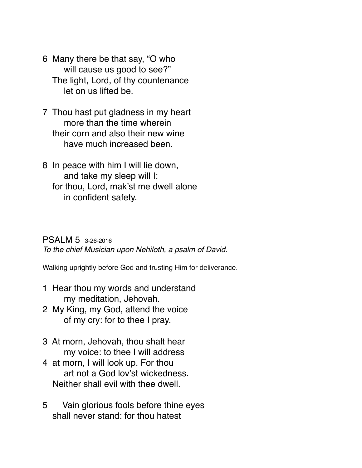- 6 Many there be that say, "O who will cause us good to see?" The light, Lord, of thy countenance let on us lifted be.
- 7 Thou hast put gladness in my heart more than the time wherein their corn and also their new wine have much increased been.
- 8 In peace with him I will lie down, and take my sleep will I: for thou, Lord, mak'st me dwell alone in confident safety.

PSALM 5 3-26-2016 *To the chief Musician upon Nehiloth, a psalm of David.*

Walking uprightly before God and trusting Him for deliverance.

- 1 Hear thou my words and understand my meditation, Jehovah.
- 2 My King, my God, attend the voice of my cry: for to thee I pray.
- 3 At morn, Jehovah, thou shalt hear my voice: to thee I will address
- 4 at morn, I will look up. For thou art not a God lov'st wickedness. Neither shall evil with thee dwell.
- 5 Vain glorious fools before thine eyes shall never stand: for thou hatest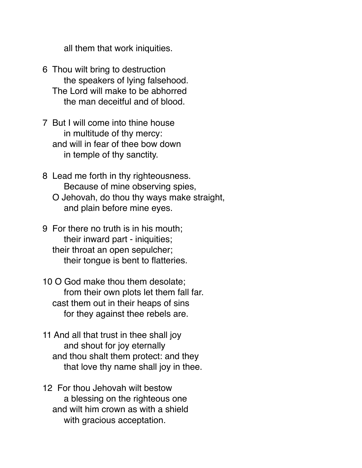all them that work iniquities.

- 6 Thou wilt bring to destruction the speakers of lying falsehood. The Lord will make to be abhorred the man deceitful and of blood.
- 7 But I will come into thine house in multitude of thy mercy: and will in fear of thee bow down in temple of thy sanctity.
- 8 Lead me forth in thy righteousness. Because of mine observing spies,
	- O Jehovah, do thou thy ways make straight, and plain before mine eyes.
- 9 For there no truth is in his mouth; their inward part - iniquities; their throat an open sepulcher; their tongue is bent to flatteries.
- 10 O God make thou them desolate; from their own plots let them fall far. cast them out in their heaps of sins for they against thee rebels are.
- 11 And all that trust in thee shall joy and shout for joy eternally and thou shalt them protect: and they that love thy name shall joy in thee.
- 12 For thou Jehovah wilt bestow a blessing on the righteous one and wilt him crown as with a shield with gracious acceptation.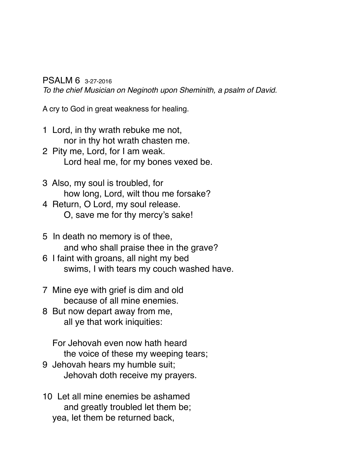PSALM 6 3-27-2016

*To the chief Musician on Neginoth upon Sheminith, a psalm of David.*

A cry to God in great weakness for healing.

- 1 Lord, in thy wrath rebuke me not, nor in thy hot wrath chasten me.
- 2 Pity me, Lord, for I am weak. Lord heal me, for my bones vexed be.
- 3 Also, my soul is troubled, for how long, Lord, wilt thou me forsake?
- 4 Return, O Lord, my soul release. O, save me for thy mercy's sake!
- 5 In death no memory is of thee, and who shall praise thee in the grave?
- 6 I faint with groans, all night my bed swims, I with tears my couch washed have.
- 7 Mine eye with grief is dim and old because of all mine enemies.
- 8 But now depart away from me, all ye that work iniquities:

 For Jehovah even now hath heard the voice of these my weeping tears; 9 Jehovah hears my humble suit; Jehovah doth receive my prayers.

10 Let all mine enemies be ashamed and greatly troubled let them be; yea, let them be returned back,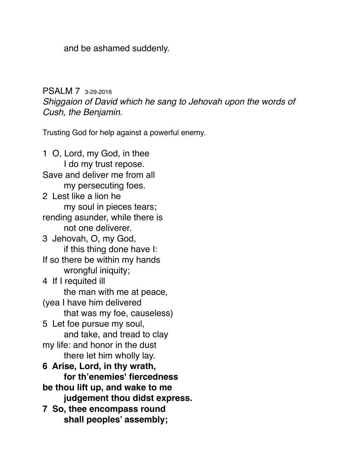and be ashamed suddenly.

## PSALM 7 3-29-2016

*Shiggaion of David which he sang to Jehovah upon the words of Cush, the Benjamin.*

Trusting God for help against a powerful enemy.

1 O, Lord, my God, in thee I do my trust repose. Save and deliver me from all my persecuting foes. 2 Lest like a lion he my soul in pieces tears; rending asunder, while there is not one deliverer. 3 Jehovah, O, my God, if this thing done have I: If so there be within my hands wrongful iniquity; 4 If I requited ill the man with me at peace, (yea I have him delivered that was my foe, causeless) 5 Let foe pursue my soul, and take, and tread to clay my life: and honor in the dust there let him wholly lay. **6 Arise, Lord, in thy wrath, for th'enemies' fiercedness be thou lift up, and wake to me judgement thou didst express. 7 So, thee encompass round shall peoples' assembly;**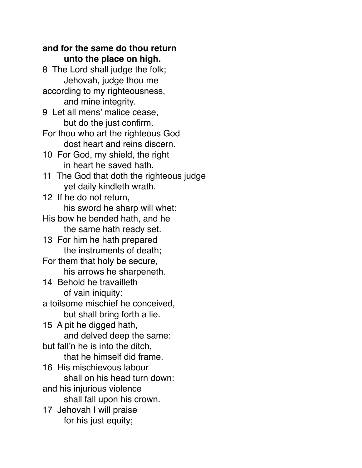### **and for the same do thou return unto the place on high.**

8 The Lord shall judge the folk; Jehovah, judge thou me according to my righteousness, and mine integrity. 9 Let all mens' malice cease, but do the just confirm. For thou who art the righteous God dost heart and reins discern. 10 For God, my shield, the right in heart he saved hath. 11 The God that doth the righteous judge yet daily kindleth wrath. 12 If he do not return, his sword he sharp will whet: His bow he bended hath, and he the same hath ready set. 13 For him he hath prepared the instruments of death; For them that holy be secure, his arrows he sharpeneth. 14 Behold he travailleth of vain iniquity: a toilsome mischief he conceived, but shall bring forth a lie. 15 A pit he digged hath, and delved deep the same: but fall'n he is into the ditch, that he himself did frame. 16 His mischievous labour shall on his head turn down: and his injurious violence shall fall upon his crown. 17 Jehovah I will praise for his just equity;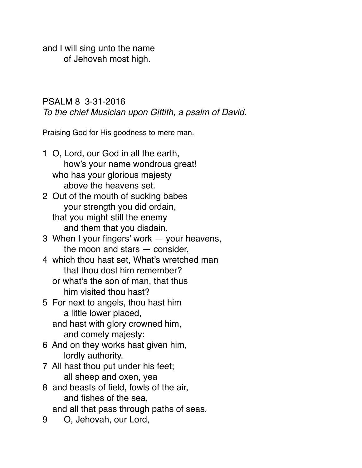and I will sing unto the name of Jehovah most high.

### PSALM 8 3-31-2016

*To the chief Musician upon Gittith, a psalm of David.*

Praising God for His goodness to mere man.

- 1 O, Lord, our God in all the earth, how's your name wondrous great! who has your glorious majesty above the heavens set. 2 Out of the mouth of sucking babes your strength you did ordain, that you might still the enemy and them that you disdain. 3 When I your fingers' work — your heavens, the moon and stars — consider, 4 which thou hast set, What's wretched man that thou dost him remember? or what's the son of man, that thus him visited thou hast? 5 For next to angels, thou hast him a little lower placed, and hast with glory crowned him, and comely majesty: 6 And on they works hast given him, lordly authority. 7 All hast thou put under his feet; all sheep and oxen, yea 8 and beasts of field, fowls of the air, and fishes of the sea, and all that pass through paths of seas.
- 9 O, Jehovah, our Lord,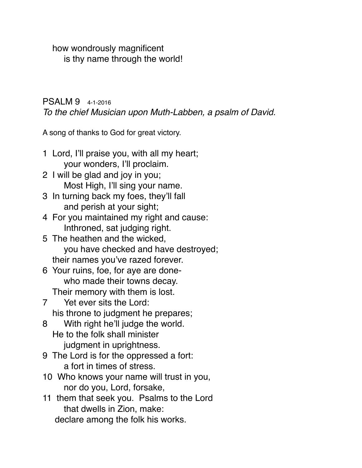how wondrously magnificent is thy name through the world!

#### PSALM 9 4-1-2016 *To the chief Musician upon Muth-Labben, a psalm of David.*

A song of thanks to God for great victory.

- 1 Lord, I'll praise you, with all my heart; your wonders, I'll proclaim.
- 2 I will be glad and joy in you; Most High, I'll sing your name.
- 3 In turning back my foes, they'll fall and perish at your sight;
- 4 For you maintained my right and cause: Inthroned, sat judging right.
- 5 The heathen and the wicked, you have checked and have destroyed; their names you've razed forever.
- 6 Your ruins, foe, for aye are donewho made their towns decay. Their memory with them is lost.
- 7 Yet ever sits the Lord: his throne to judgment he prepares;
- 8 With right he'll judge the world. He to the folk shall minister judgment in uprightness.
- 9 The Lord is for the oppressed a fort: a fort in times of stress.
- 10 Who knows your name will trust in you, nor do you, Lord, forsake,
- 11 them that seek you. Psalms to the Lord that dwells in Zion, make: declare among the folk his works.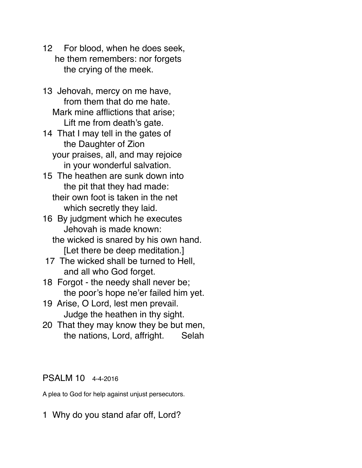- 12 For blood, when he does seek, he them remembers: nor forgets the crying of the meek.
- 13 Jehovah, mercy on me have, from them that do me hate. Mark mine afflictions that arise; Lift me from death's gate.
- 14 That I may tell in the gates of the Daughter of Zion your praises, all, and may rejoice in your wonderful salvation.
- 15 The heathen are sunk down into the pit that they had made: their own foot is taken in the net which secretly they laid.
- 16 By judgment which he executes Jehovah is made known: the wicked is snared by his own hand. [Let there be deep meditation.]
- 17 The wicked shall be turned to Hell, and all who God forget.
- 18 Forgot the needy shall never be; the poor's hope ne'er failed him yet.
- 19 Arise, O Lord, lest men prevail. Judge the heathen in thy sight.
- 20 That they may know they be but men, the nations, Lord, affright. Selah

## PSALM 10 4-4-2016

A plea to God for help against unjust persecutors.

1 Why do you stand afar off, Lord?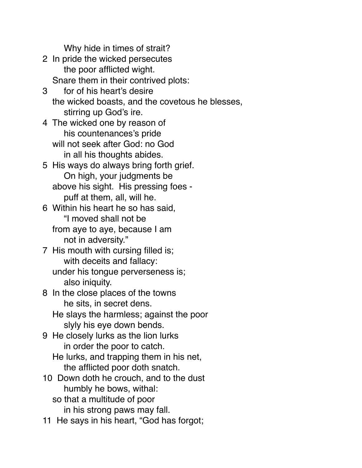Why hide in times of strait?

- 2 In pride the wicked persecutes the poor afflicted wight. Snare them in their contrived plots:
- 3 for of his heart's desire the wicked boasts, and the covetous he blesses, stirring up God's ire.
- 4 The wicked one by reason of his countenances's pride will not seek after God: no God in all his thoughts abides.
- 5 His ways do always bring forth grief. On high, your judgments be above his sight. His pressing foes puff at them, all, will he.
- 6 Within his heart he so has said, "I moved shall not be from aye to aye, because I am not in adversity."
- 7 His mouth with cursing filled is; with deceits and fallacy: under his tongue perverseness is; also iniquity.
- 8 In the close places of the towns he sits, in secret dens.
	- He slays the harmless; against the poor slyly his eye down bends.
- 9 He closely lurks as the lion lurks in order the poor to catch. He lurks, and trapping them in his net, the afflicted poor doth snatch.
- 10 Down doth he crouch, and to the dust humbly he bows, withal: so that a multitude of poor
	- in his strong paws may fall.
- 11 He says in his heart, "God has forgot;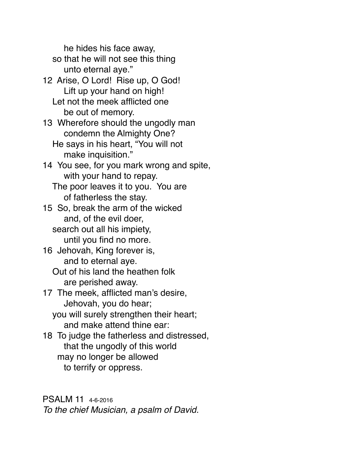he hides his face away,

 so that he will not see this thing unto eternal aye."

12 Arise, O Lord! Rise up, O God! Lift up your hand on high! Let not the meek afflicted one be out of memory.

13 Wherefore should the ungodly man condemn the Almighty One? He says in his heart, "You will not make inquisition."

14 You see, for you mark wrong and spite, with your hand to repay. The poor leaves it to you. You are of fatherless the stay.

15 So, break the arm of the wicked and, of the evil doer, search out all his impiety,

until you find no more.

16 Jehovah, King forever is, and to eternal aye.

 Out of his land the heathen folk are perished away.

17 The meek, afflicted man's desire, Jehovah, you do hear;

 you will surely strengthen their heart; and make attend thine ear:

18 To judge the fatherless and distressed, that the ungodly of this world may no longer be allowed to terrify or oppress.

PSALM 11 4-6-2016 *To the chief Musician, a psalm of David.*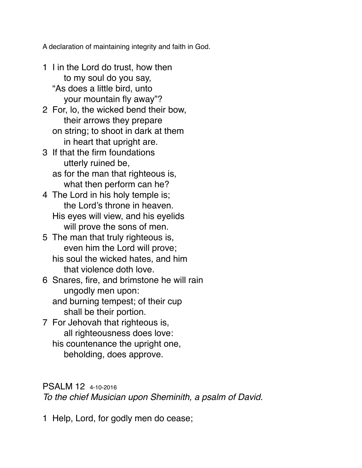A declaration of maintaining integrity and faith in God.

- 1 I in the Lord do trust, how then to my soul do you say, "As does a little bird, unto your mountain fly away"?
- 2 For, lo, the wicked bend their bow, their arrows they prepare on string; to shoot in dark at them in heart that upright are.
- 3 If that the firm foundations utterly ruined be, as for the man that righteous is,
	- what then perform can he?
- 4 The Lord in his holy temple is; the Lord's throne in heaven. His eyes will view, and his eyelids will prove the sons of men.
- 5 The man that truly righteous is, even him the Lord will prove; his soul the wicked hates, and him that violence doth love.
- 6 Snares, fire, and brimstone he will rain ungodly men upon:
	- and burning tempest; of their cup shall be their portion.
- 7 For Jehovah that righteous is, all righteousness does love: his countenance the upright one, beholding, does approve.

# PSALM 12 4-10-2016

*To the chief Musician upon Sheminith, a psalm of David.*

1 Help, Lord, for godly men do cease;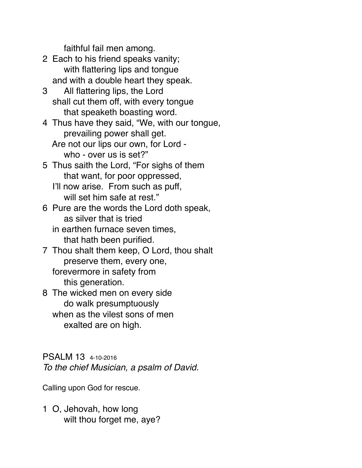faithful fail men among.

- 2 Each to his friend speaks vanity; with flattering lips and tongue and with a double heart they speak.
- 3 All flattering lips, the Lord shall cut them off, with every tongue that speaketh boasting word.
- 4 Thus have they said, "We, with our tongue, prevailing power shall get.
	- Are not our lips our own, for Lord who - over us is set?"
- 5 Thus saith the Lord, "For sighs of them that want, for poor oppressed,
	- I'll now arise. From such as puff, will set him safe at rest."
- 6 Pure are the words the Lord doth speak, as silver that is tried
	- in earthen furnace seven times, that hath been purified.
- 7 Thou shalt them keep, O Lord, thou shalt preserve them, every one, forevermore in safety from
	- this generation.
- 8 The wicked men on every side do walk presumptuously when as the vilest sons of men exalted are on high.

PSALM 13 4-10-2016 *To the chief Musician, a psalm of David.*

Calling upon God for rescue.

1 O, Jehovah, how long wilt thou forget me, aye?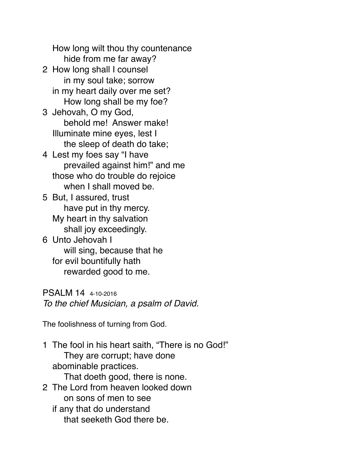How long wilt thou thy countenance hide from me far away? 2 How long shall I counsel in my soul take; sorrow in my heart daily over me set? How long shall be my foe? 3 Jehovah, O my God, behold me! Answer make! Illuminate mine eyes, lest I the sleep of death do take; 4 Lest my foes say "I have prevailed against him!" and me those who do trouble do rejoice when I shall moved be. 5 But, I assured, trust have put in thy mercy. My heart in thy salvation shall joy exceedingly. 6 Unto Jehovah I will sing, because that he for evil bountifully hath rewarded good to me.

PSALM 14 4-10-2016 *To the chief Musician, a psalm of David.*

The foolishness of turning from God.

1 The fool in his heart saith, "There is no God!" They are corrupt; have done abominable practices. That doeth good, there is none. 2 The Lord from heaven looked down

on sons of men to see if any that do understand that seeketh God there be.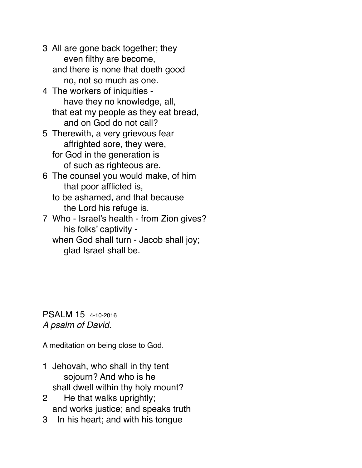3 All are gone back together; they even filthy are become, and there is none that doeth good no, not so much as one. 4 The workers of iniquities have they no knowledge, all, that eat my people as they eat bread, and on God do not call? 5 Therewith, a very grievous fear affrighted sore, they were, for God in the generation is of such as righteous are. 6 The counsel you would make, of him that poor afflicted is, to be ashamed, and that because the Lord his refuge is. 7 Who - Israel's health - from Zion gives? his folks' captivity when God shall turn - Jacob shall joy; glad Israel shall be.

PSALM 15 4-10-2016 *A psalm of David.*

A meditation on being close to God.

- 1 Jehovah, who shall in thy tent sojourn? And who is he shall dwell within thy holy mount?
- 2 He that walks uprightly; and works justice; and speaks truth
- 3 In his heart; and with his tongue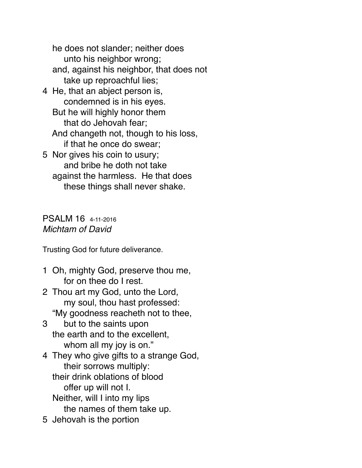he does not slander; neither does unto his neighbor wrong; and, against his neighbor, that does not take up reproachful lies; 4 He, that an abject person is, condemned is in his eyes. But he will highly honor them that do Jehovah fear; And changeth not, though to his loss, if that he once do swear; 5 Nor gives his coin to usury; and bribe he doth not take against the harmless. He that does these things shall never shake.

PSALM 16 4-11-2016 *Michtam of David*

Trusting God for future deliverance.

- 1 Oh, mighty God, preserve thou me, for on thee do I rest.
- 2 Thou art my God, unto the Lord, my soul, thou hast professed: "My goodness reacheth not to thee,
- 3 but to the saints upon the earth and to the excellent, whom all my joy is on."
- 4 They who give gifts to a strange God, their sorrows multiply: their drink oblations of blood offer up will not I. Neither, will I into my lips the names of them take up.
- 5 Jehovah is the portion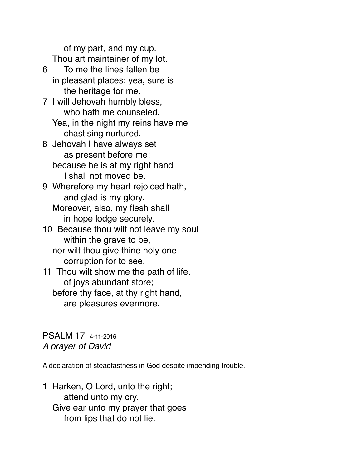of my part, and my cup. Thou art maintainer of my lot. 6 To me the lines fallen be in pleasant places: yea, sure is the heritage for me. 7 I will Jehovah humbly bless, who hath me counseled. Yea, in the night my reins have me chastising nurtured. 8 Jehovah I have always set as present before me: because he is at my right hand I shall not moved be. 9 Wherefore my heart rejoiced hath, and glad is my glory. Moreover, also, my flesh shall in hope lodge securely. 10 Because thou wilt not leave my soul within the grave to be, nor wilt thou give thine holy one corruption for to see. 11 Thou wilt show me the path of life, of joys abundant store; before thy face, at thy right hand, are pleasures evermore.

PSALM 17 4-11-2016 *A prayer of David*

A declaration of steadfastness in God despite impending trouble.

1 Harken, O Lord, unto the right; attend unto my cry. Give ear unto my prayer that goes from lips that do not lie.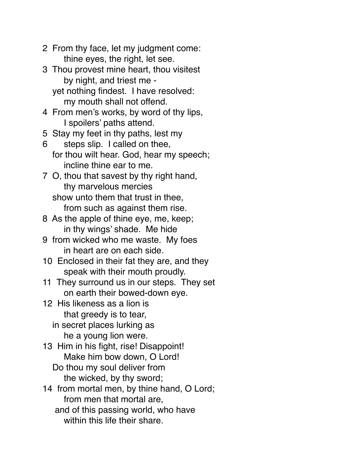2 From thy face, let my judgment come: thine eyes, the right, let see. 3 Thou provest mine heart, thou visitest

by night, and triest me yet nothing findest. I have resolved: my mouth shall not offend.

4 From men's works, by word of thy lips, I spoilers' paths attend.

5 Stay my feet in thy paths, lest my

- 6 steps slip. I called on thee, for thou wilt hear. God, hear my speech; incline thine ear to me.
- 7 O, thou that savest by thy right hand, thy marvelous mercies show unto them that trust in thee,
	- from such as against them rise.
- 8 As the apple of thine eye, me, keep; in thy wings' shade. Me hide
- 9 from wicked who me waste. My foes in heart are on each side.
- 10 Enclosed in their fat they are, and they speak with their mouth proudly.
- 11 They surround us in our steps. They set on earth their bowed-down eye.
- 12 His likeness as a lion is that greedy is to tear,
	- in secret places lurking as he a young lion were.
- 13 Him in his fight, rise! Disappoint! Make him bow down, O Lord! Do thou my soul deliver from the wicked, by thy sword;
- 14 from mortal men, by thine hand, O Lord; from men that mortal are, and of this passing world, who have within this life their share.